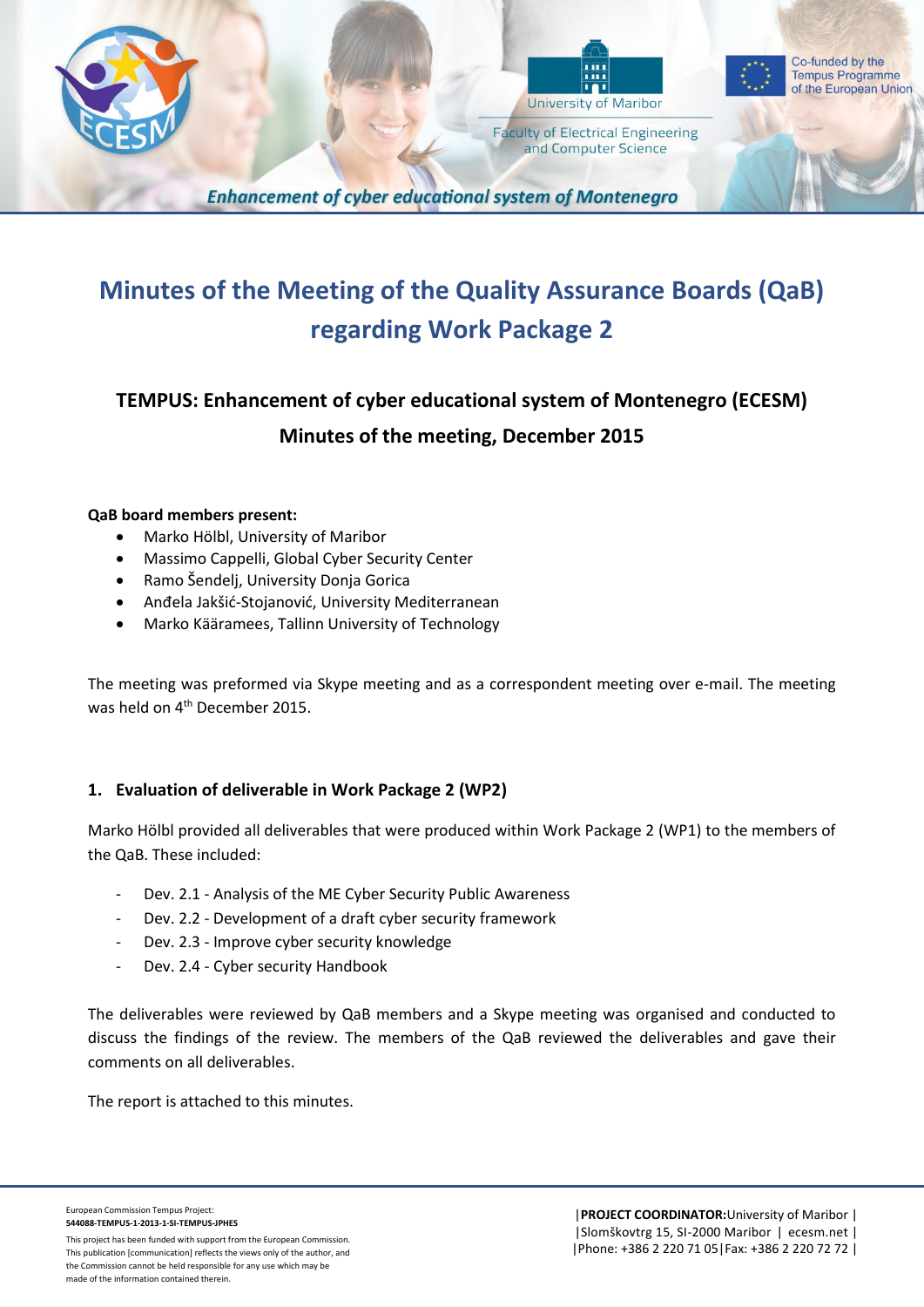



**Faculty of Electrical Engineering** and Computer Science



**Enhancement of cyber educational system of Montenegro** 

## **Minutes of the Meeting of the Quality Assurance Boards (QaB) regarding Work Package 2**

## **TEMPUS: Enhancement of cyber educational system of Montenegro (ECESM) Minutes of the meeting, December 2015**

## **QaB board members present:**

- Marko Hölbl, University of Maribor
- Massimo Cappelli, Global Cyber Security Center
- Ramo Šendelj, University Donja Gorica
- Anđela Jakšić-Stojanović, University Mediterranean
- Marko Kääramees, Tallinn University of Technology

The meeting was preformed via Skype meeting and as a correspondent meeting over e-mail. The meeting was held on 4<sup>th</sup> December 2015.

## **1. Evaluation of deliverable in Work Package 2 (WP2)**

Marko Hölbl provided all deliverables that were produced within Work Package 2 (WP1) to the members of the QaB. These included:

- Dev. 2.1 Analysis of the ME Cyber Security Public Awareness
- Dev. 2.2 Development of a draft cyber security framework
- Dev. 2.3 Improve cyber security knowledge
- Dev. 2.4 Cyber security Handbook

The deliverables were reviewed by QaB members and a Skype meeting was organised and conducted to discuss the findings of the review. The members of the QaB reviewed the deliverables and gave their comments on all deliverables.

The report is attached to this minutes.

European Commission Tempus Project: **544088-TEMPUS-1-2013-1-SI-TEMPUS-JPHES**

This project has been funded with support from the European Commission. This publication [communication] reflects the views only of the author, and the Commission cannot be held responsible for any use which may be made of the information contained therein.